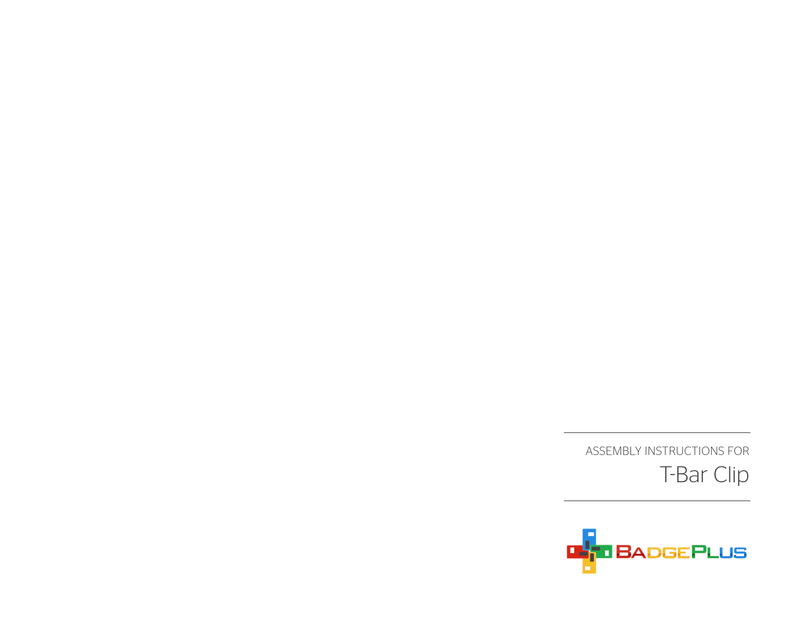

ASSEMBLY INSTRUCTIONS FOR T-Bar Clip